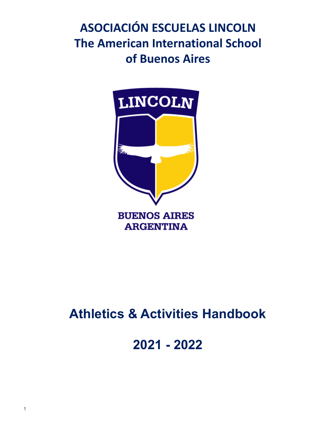# **ASOCIACIÓN ESCUELAS LINCOLN The American International School of Buenos Aires**



# **Athletics & Activities Handbook**

**2021 - 2022**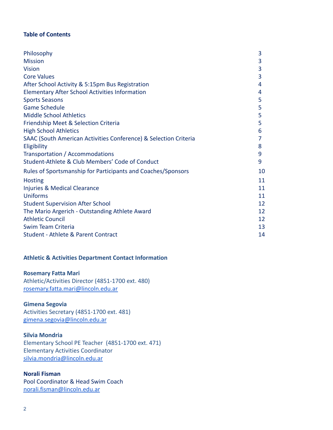# **Table of Contents**

| Philosophy                                                       | 3  |
|------------------------------------------------------------------|----|
| <b>Mission</b>                                                   | 3  |
| <b>Vision</b>                                                    | 3  |
| <b>Core Values</b>                                               | 3  |
| After School Activity & 5:15pm Bus Registration                  | 4  |
| <b>Elementary After School Activities Information</b>            | 4  |
| <b>Sports Seasons</b>                                            | 5  |
| <b>Game Schedule</b>                                             | 5  |
| <b>Middle School Athletics</b>                                   | 5  |
| Friendship Meet & Selection Criteria                             | 5  |
| <b>High School Athletics</b>                                     | 6  |
| SAAC (South American Activities Conference) & Selection Criteria | 7  |
| Eligibility                                                      | 8  |
| Transportation / Accommodations                                  | 9  |
| Student-Athlete & Club Members' Code of Conduct                  | 9  |
| Rules of Sportsmanship for Participants and Coaches/Sponsors     | 10 |
| <b>Hosting</b>                                                   | 11 |
| Injuries & Medical Clearance                                     | 11 |
| Uniforms                                                         | 11 |
| <b>Student Supervision After School</b>                          | 12 |
| The Mario Argerich - Outstanding Athlete Award                   | 12 |
| <b>Athletic Council</b>                                          | 12 |
| Swim Team Criteria                                               | 13 |
| Student - Athlete & Parent Contract                              | 14 |

# **Athletic & Activities Department Contact Information**

#### **Rosemary Fatta Mari**

Athletic/Activities Director (4851-1700 ext. 480) [rosemary.fatta.mari@lincoln.edu.ar](mailto:rosemary.fatta.mari@lincoln.edu.ar)

#### **Gimena Segovia**

Activities Secretary (4851-1700 ext. 481) [gimena.segovia@lincoln.edu.ar](mailto:gimena.segovia@lincoln.edu.ar)

# **Silvia Mondria**

Elementary School PE Teacher (4851-1700 ext. 471) Elementary Activities Coordinator [silvia.mondria@lincoln.edu.ar](mailto:silvia.mondria@lincoln.edu.ar)

#### **Norali Fisman**

Pool Coordinator & Head Swim Coach [norali.fisman@lincoln.edu.ar](mailto:norali.fisman@lincoln.edu.ar)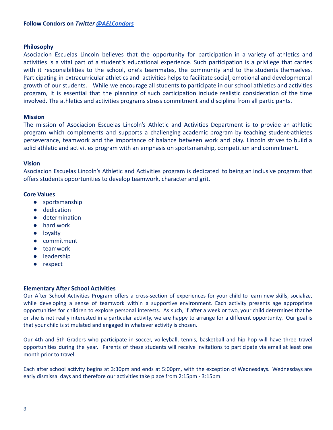#### **Philosophy**

Asociacion Escuelas Lincoln believes that the opportunity for participation in a variety of athletics and activities is a vital part of a student's educational experience. Such participation is a privilege that carries with it responsibilities to the school, one's teammates, the community and to the students themselves. Participating in extracurricular athletics and activities helps to facilitate social, emotional and developmental growth of our students. While we encourage all students to participate in our school athletics and activities program, it is essential that the planning of such participation include realistic consideration of the time involved. The athletics and activities programs stress commitment and discipline from all participants.

#### **Mission**

The mission of Asociacion Escuelas Lincoln's Athletic and Activities Department is to provide an athletic program which complements and supports a challenging academic program by teaching student-athletes perseverance, teamwork and the importance of balance between work and play. Lincoln strives to build a solid athletic and activities program with an emphasis on sportsmanship, competition and commitment.

#### **Vision**

Asociacion Escuelas Lincoln's Athletic and Activities program is dedicated to being an inclusive program that offers students opportunities to develop teamwork, character and grit.

#### **Core Values**

- sportsmanship
- dedication
- determination
- hard work
- loyalty
- commitment
- teamwork
- leadership
- respect

# **Elementary After School Activities**

Our After School Activities Program offers a cross-section of experiences for your child to learn new skills, socialize, while developing a sense of teamwork within a supportive environment. Each activity presents age appropriate opportunities for children to explore personal interests. As such, if after a week or two, your child determines that he or she is not really interested in a particular activity, we are happy to arrange for a different opportunity. Our goal is that your child is stimulated and engaged in whatever activity is chosen.

Our 4th and 5th Graders who participate in soccer, volleyball, tennis, basketball and hip hop will have three travel opportunities during the year. Parents of these students will receive invitations to participate via email at least one month prior to travel.

Each after school activity begins at 3:30pm and ends at 5:00pm, with the exception of Wednesdays. Wednesdays are early dismissal days and therefore our activities take place from 2:15pm - 3:15pm.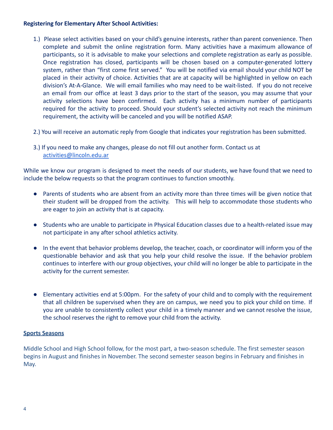# **Registering for Elementary After School Activities:**

- 1.) Please select activities based on your child's genuine interests, rather than parent convenience. Then complete and submit the online registration form. Many activities have a maximum allowance of participants, so it is advisable to make your selections and complete registration as early as possible. Once registration has closed, participants will be chosen based on a computer-generated lottery system, rather than "first come first served." You will be notified via email should your child NOT be placed in their activity of choice. Activities that are at capacity will be highlighted in yellow on each division's At-A-Glance. We will email families who may need to be wait-listed. If you do not receive an email from our office at least 3 days prior to the start of the season, you may assume that your activity selections have been confirmed. Each activity has a minimum number of participants required for the activity to proceed. Should your student's selected activity not reach the minimum requirement, the activity will be canceled and you will be notified ASAP.
- 2.) You will receive an automatic reply from Google that indicates your registration has been submitted.
- 3.) If you need to make any changes, please do not fill out another form. Contact us at [activities@lincoln.edu.ar](mailto:activities@lincoln.edu.ar)

While we know our program is designed to meet the needs of our students, we have found that we need to include the below requests so that the program continues to function smoothly.

- Parents of students who are absent from an activity more than three times will be given notice that their student will be dropped from the activity. This will help to accommodate those students who are eager to join an activity that is at capacity.
- Students who are unable to participate in Physical Education classes due to a health-related issue may not participate in any after school athletics activity.
- In the event that behavior problems develop, the teacher, coach, or coordinator will inform you of the questionable behavior and ask that you help your child resolve the issue. If the behavior problem continues to interfere with our group objectives, your child will no longer be able to participate in the activity for the current semester.
- Elementary activities end at 5:00pm. For the safety of your child and to comply with the requirement that all children be supervised when they are on campus, we need you to pick your child on time. If you are unable to consistently collect your child in a timely manner and we cannot resolve the issue, the school reserves the right to remove your child from the activity.

# **Sports Seasons**

Middle School and High School follow, for the most part, a two-season schedule. The first semester season begins in August and finishes in November. The second semester season begins in February and finishes in May.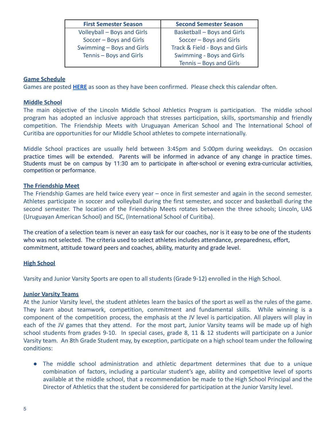| <b>First Semester Season</b> | <b>Second Semester Season</b>  |
|------------------------------|--------------------------------|
| Volleyball - Boys and Girls  | Basketball - Boys and Girls    |
| Soccer - Boys and Girls      | Soccer - Boys and Girls        |
| Swimming - Boys and Girls    | Track & Field - Boys and Girls |
| Tennis - Boys and Girls      | Swimming - Boys and Girls      |
|                              | Tennis - Boys and Girls        |

## **Game Schedule**

Games are posted **[HERE](https://www.lincoln.edu.ar/student-life/school-calendar)** as soon as they have been confirmed. Please check this calendar often.

#### **Middle School**

The main objective of the Lincoln Middle School Athletics Program is participation. The middle school program has adopted an inclusive approach that stresses participation, skills, sportsmanship and friendly competition. The Friendship Meets with Uruguayan American School and The International School of Curitiba are opportunities for our Middle School athletes to compete internationally.

Middle School practices are usually held between 3:45pm and 5:00pm during weekdays. On occasion practice times will be extended. Parents will be informed in advance of any change in practice times. Students must be on campus by 11:30 am to participate in after-school or evening extra-curricular activities, competition or performance.

#### **The Friendship Meet**

The Friendship Games are held twice every year – once in first semester and again in the second semester. Athletes participate in soccer and volleyball during the first semester, and soccer and basketball during the second semester. The location of the Friendship Meets rotates between the three schools; Lincoln, UAS (Uruguayan American School) and ISC, (International School of Curitiba).

The creation of a selection team is never an easy task for our coaches, nor is it easy to be one of the students who was not selected. The criteria used to select athletes includes attendance, preparedness, effort, commitment, attitude toward peers and coaches, ability, maturity and grade level.

#### **High School**

Varsity and Junior Varsity Sports are open to all students (Grade 9-12) enrolled in the High School.

#### **Junior Varsity Teams**

At the Junior Varsity level, the student athletes learn the basics of the sport as well as the rules of the game. They learn about teamwork, competition, commitment and fundamental skills. While winning is a component of the competition process, the emphasis at the JV level is participation. All players will play in each of the JV games that they attend. For the most part, Junior Varsity teams will be made up of high school students from grades 9-10. In special cases, grade 8, 11 & 12 students will participate on a Junior Varsity team. An 8th Grade Student may, by exception, participate on a high school team under the following conditions:

● The middle school administration and athletic department determines that due to a unique combination of factors, including a particular student's age, ability and competitive level of sports available at the middle school, that a recommendation be made to the High School Principal and the Director of Athletics that the student be considered for participation at the Junior Varsity level.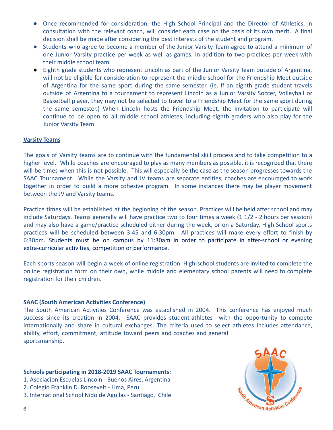- Once recommended for consideration, the High School Principal and the Director of Athletics, in consultation with the relevant coach, will consider each case on the basis of its own merit. A final decision shall be made after considering the best interests of the student and program.
- Students who agree to become a member of the Junior Varsity Team agree to attend a minimum of one Junior Varsity practice per week as well as games, in addition to two practices per week with their middle school team.
- Eighth grade students who represent Lincoln as part of the Junior Varsity Team outside of Argentina, will not be eligible for consideration to represent the middle school for the Friendship Meet outside of Argentina for the same sport during the same semester. (ie. If an eighth grade student travels outside of Argentina to a tournament to represent Lincoln as a Junior Varsity Soccer, Volleyball or Basketball player, they may not be selected to travel to a Friendship Meet for the same sport during the same semester.) When Lincoln hosts the Friendship Meet, the invitation to participate will continue to be open to all middle school athletes, including eighth graders who also play for the Junior Varsity Team.

#### **Varsity Teams**

The goals of Varsity teams are to continue with the fundamental skill process and to take competition to a higher level. While coaches are encouraged to play as many members as possible, it is recognized that there will be times when this is not possible. This will especially be the case as the season progresses towards the SAAC Tournament. While the Varsity and JV teams are separate entities, coaches are encouraged to work together in order to build a more cohesive program. In some instances there may be player movement between the JV and Varsity teams.

Practice times will be established at the beginning of the season. Practices will be held after school and may include Saturdays. Teams generally will have practice two to four times a week (1 1/2 - 2 hours per session) and may also have a game/practice scheduled either during the week, or on a Saturday. High School sports practices will be scheduled between 3:45 and 6:30pm. All practices will make every effort to finish by 6:30pm. Students must be on campus by 11:30am in order to participate in after-school or evening extra-curricular activities, competition or performance.

Each sports season will begin a week of online registration. High-school students are invited to complete the online registration form on their own, while middle and elementary school parents will need to complete registration for their children.

#### **SAAC (South American Activities Conference)**

The South American Activities Conference was established in 2004. This conference has enjoyed much success since its creation in 2004. SAAC provides student-athletes with the opportunity to compete internationally and share in cultural exchanges. The criteria used to select athletes includes attendance, ability, effort, commitment, attitude toward peers and coaches and general sportsmanship.

#### **Schools participating in 2018-2019 SAAC Tournaments:**

- 1. Asociacion Escuelas Lincoln Buenos Aires, Argentina
- 2. Colegio Franklin D. Roosevelt Lima, Peru
- 3. International School Nido de Aguilas Santiago, Chile

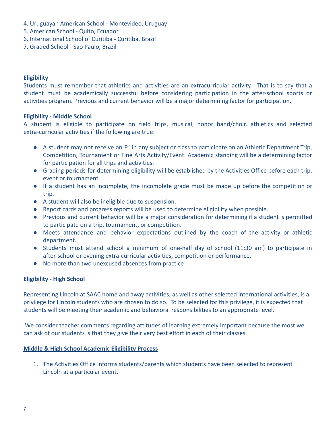- 4. Uruguayan American School Montevideo, Uruguay
- 5. American School Quito, Ecuador
- 6. International School of Curitiba Curitiba, Brazil
- 7. Graded School Sao Paulo, Brazil

# **Eligibility**

Students must remember that athletics and activities are an extracurricular activity. That is to say that a student must be academically successful before considering participation in the after-school sports or activities program. Previous and current behavior will be a major determining factor for participation.

#### **Eligibility - Middle School**

A student is eligible to participate on field trips, musical, honor band/choir, athletics and selected extra-curricular activities if the following are true:

- A student may not receive an F" in any subject or class to participate on an Athletic Department Trip, Competition, Tournament or Fine Arts Activity/Event. Academic standing will be a determining factor for participation for all trips and activities.
- Grading periods for determining eligibility will be established by the Activities Office before each trip, event or tournament.
- If a student has an incomplete, the incomplete grade must be made up before the competition or trip.
- A student will also be ineligible due to suspension.
- Report cards and progress reports will be used to determine eligibility when possible.
- Previous and current behavior will be a major consideration for determining if a student is permitted to participate on a trip, tournament, or competition.
- Meets attendance and behavior expectations outlined by the coach of the activity or athletic department.
- Students must attend school a minimum of one-half day of school (11:30 am) to participate in after-school or evening extra-curricular activities, competition or performance.
- No more than two unexcused absences from practice

# **Eligibility - High School**

Representing Lincoln at SAAC home and away activities, as well as other selected international activities, is a privilege for Lincoln students who are chosen to do so. To be selected for this privilege, it is expected that students will be meeting their academic and behavioral responsibilities to an appropriate level.

We consider teacher comments regarding attitudes of learning extremely important because the most we can ask of our students is that they give their very best effort in each of their classes.

#### **Middle & High School Academic Eligibility Process**

1. The Activities Office informs students/parents which students have been selected to represent Lincoln at a particular event.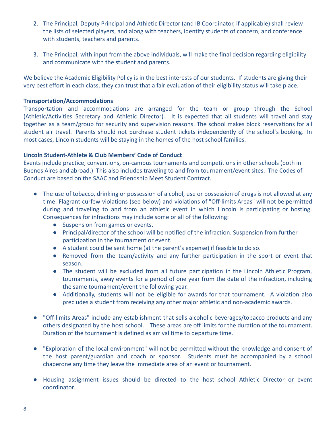- 2. The Principal, Deputy Principal and Athletic Director (and IB Coordinator, if applicable) shall review the lists of selected players, and along with teachers, identify students of concern, and conference with students, teachers and parents.
- 3. The Principal, with input from the above individuals, will make the final decision regarding eligibility and communicate with the student and parents.

We believe the Academic Eligibility Policy is in the best interests of our students. If students are giving their very best effort in each class, they can trust that a fair evaluation of their eligibility status will take place.

## **Transportation/Accommodations**

Transportation and accommodations are arranged for the team or group through the School (Athletic/Activities Secretary and Athletic Director). It is expected that all students will travel and stay together as a team/group for security and supervision reasons. The school makes block reservations for all student air travel. Parents should not purchase student tickets independently of the school`s booking. In most cases, Lincoln students will be staying in the homes of the host school families.

# **Lincoln Student-Athlete & Club Members' Code of Conduct**

Events include practice, conventions, on-campus tournaments and competitions in other schools (both in Buenos Aires and abroad.) This also includes traveling to and from tournament/event sites. The Codes of Conduct are based on the SAAC and Friendship Meet Student Contract.

- The use of tobacco, drinking or possession of alcohol, use or possession of drugs is not allowed at any time. Flagrant curfew violations (see below) and violations of "Off-limits Areas" will not be permitted during and traveling to and from an athletic event in which Lincoln is participating or hosting. Consequences for infractions may include some or all of the following:
	- Suspension from games or events.
	- Principal/director of the school will be notified of the infraction. Suspension from further participation in the tournament or event.
	- A student could be sent home (at the parent's expense) if feasible to do so.
	- Removed from the team/activity and any further participation in the sport or event that season.
	- The student will be excluded from all future participation in the Lincoln Athletic Program, tournaments, away events for a period of one year from the date of the infraction, including the same tournament/event the following year.
	- Additionally, students will not be eligible for awards for that tournament. A violation also precludes a student from receiving any other major athletic and non-academic awards.
- "Off-limits Areas" include any establishment that sells alcoholic beverages/tobacco products and any others designated by the host school. These areas are off limits for the duration of the tournament. Duration of the tournament is defined as arrival time to departure time.
- "Exploration of the local environment" will not be permitted without the knowledge and consent of the host parent/guardian and coach or sponsor. Students must be accompanied by a school chaperone any time they leave the immediate area of an event or tournament.
- Housing assignment issues should be directed to the host school Athletic Director or event coordinator.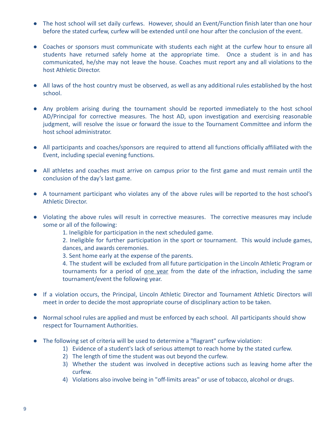- The host school will set daily curfews. However, should an Event/Function finish later than one hour before the stated curfew, curfew will be extended until one hour after the conclusion of the event.
- Coaches or sponsors must communicate with students each night at the curfew hour to ensure all students have returned safely home at the appropriate time. Once a student is in and has communicated, he/she may not leave the house. Coaches must report any and all violations to the host Athletic Director.
- All laws of the host country must be observed, as well as any additional rules established by the host school.
- Any problem arising during the tournament should be reported immediately to the host school AD/Principal for corrective measures. The host AD, upon investigation and exercising reasonable judgment, will resolve the issue or forward the issue to the Tournament Committee and inform the host school administrator.
- All participants and coaches/sponsors are required to attend all functions officially affiliated with the Event, including special evening functions.
- All athletes and coaches must arrive on campus prior to the first game and must remain until the conclusion of the day's last game.
- A tournament participant who violates any of the above rules will be reported to the host school's Athletic Director.
- Violating the above rules will result in corrective measures. The corrective measures may include some or all of the following:

1. Ineligible for participation in the next scheduled game.

2. Ineligible for further participation in the sport or tournament. This would include games, dances, and awards ceremonies.

3. Sent home early at the expense of the parents.

4. The student will be excluded from all future participation in the Lincoln Athletic Program or tournaments for a period of one year from the date of the infraction, including the same tournament/event the following year.

- If a violation occurs, the Principal, Lincoln Athletic Director and Tournament Athletic Directors will meet in order to decide the most appropriate course of disciplinary action to be taken.
- Normal school rules are applied and must be enforced by each school. All participants should show respect for Tournament Authorities.
- The following set of criteria will be used to determine a "flagrant" curfew violation:
	- 1) Evidence of a student's lack of serious attempt to reach home by the stated curfew.
	- 2) The length of time the student was out beyond the curfew.
	- 3) Whether the student was involved in deceptive actions such as leaving home after the curfew.
	- 4) Violations also involve being in "off-limits areas" or use of tobacco, alcohol or drugs.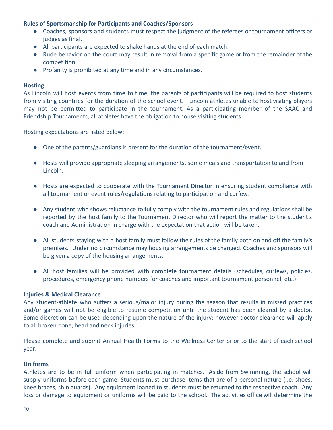# **Rules of Sportsmanship for Participants and Coaches/Sponsors**

- Coaches, sponsors and students must respect the judgment of the referees or tournament officers or judges as final.
- All participants are expected to shake hands at the end of each match.
- Rude behavior on the court may result in removal from a specific game or from the remainder of the competition.
- Profanity is prohibited at any time and in any circumstances.

## **Hosting**

As Lincoln will host events from time to time, the parents of participants will be required to host students from visiting countries for the duration of the school event. Lincoln athletes unable to host visiting players may not be permitted to participate in the tournament. As a participating member of the SAAC and Friendship Tournaments, all athletes have the obligation to house visiting students.

Hosting expectations are listed below:

- One of the parents/guardians is present for the duration of the tournament/event.
- Hosts will provide appropriate sleeping arrangements, some meals and transportation to and from Lincoln.
- Hosts are expected to cooperate with the Tournament Director in ensuring student compliance with all tournament or event rules/regulations relating to participation and curfew.
- Any student who shows reluctance to fully comply with the tournament rules and regulations shall be reported by the host family to the Tournament Director who will report the matter to the student's coach and Administration in charge with the expectation that action will be taken.
- All students staying with a host family must follow the rules of the family both on and off the family's premises. Under no circumstance may housing arrangements be changed. Coaches and sponsors will be given a copy of the housing arrangements.
- All host families will be provided with complete tournament details (schedules, curfews, policies, procedures, emergency phone numbers for coaches and important tournament personnel, etc.)

#### **Injuries & Medical Clearance**

Any student-athlete who suffers a serious/major injury during the season that results in missed practices and/or games will not be eligible to resume competition until the student has been cleared by a doctor. Some discretion can be used depending upon the nature of the injury; however doctor clearance will apply to all broken bone, head and neck injuries.

Please complete and submit Annual Health Forms to the Wellness Center prior to the start of each school year.

#### **Uniforms**

Athletes are to be in full uniform when participating in matches. Aside from Swimming, the school will supply uniforms before each game. Students must purchase items that are of a personal nature (i.e. shoes, knee braces, shin guards). Any equipment loaned to students must be returned to the respective coach. Any loss or damage to equipment or uniforms will be paid to the school. The activities office will determine the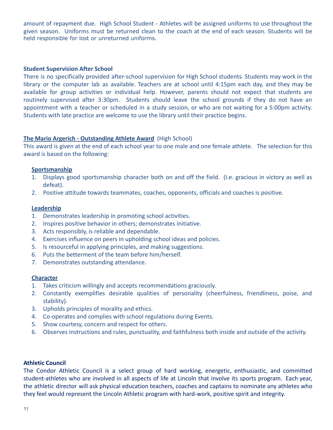amount of repayment due. High School Student - Athletes will be assigned uniforms to use throughout the given season. Uniforms must be returned clean to the coach at the end of each season. Students will be held responsible for lost or unreturned uniforms.

#### **Student Supervision After School**

There is no specifically provided after-school supervision for High School students. Students may work in the library or the computer lab as available. Teachers are at school until 4:15pm each day, and they may be available for group activities or individual help. However, parents should not expect that students are routinely supervised after 3:30pm. Students should leave the school grounds if they do not have an appointment with a teacher or scheduled in a study session, or who are not waiting for a 5:00pm activity. Students with late practice are welcome to use the library until their practice begins.

#### **The Mario Argerich - Outstanding Athlete Award** (High School)

This award is given at the end of each school year to one male and one female athlete. The selection for this award is based on the following:

#### **Sportsmanship**

- 1. Displays good sportsmanship character both on and off the field. (I.e. gracious in victory as well as defeat).
- 2. Positive attitude towards teammates, coaches, opponents, officials and coaches is positive.

#### **Leadership**

- 1. Demonstrates leadership in promoting school activities.
- 2. Inspires positive behavior in others; demonstrates initiative.
- 3. Acts responsibly, is reliable and dependable.
- 4. Exercises influence on peers in upholding school ideas and policies.
- 5. Is resourceful in applying principles, and making suggestions.
- 6. Puts the betterment of the team before him/herself.
- 7. Demonstrates outstanding attendance.

#### **Character**

- 1. Takes criticism willingly and accepts recommendations graciously.
- 2. Constantly exemplifies desirable qualities of personality (cheerfulness, friendliness, poise, and stability).
- 3. Upholds principles of morality and ethics.
- 4. Co-operates and complies with school regulations during Events.
- 5. Show courtesy, concern and respect for others.
- 6. Observes instructions and rules, punctuality, and faithfulness both inside and outside of the activity.

#### **Athletic Council**

The Condor Athletic Council is a select group of hard working, energetic, enthusiastic, and committed student-athletes who are involved in all aspects of life at Lincoln that involve its sports program. Each year, the athletic director will ask physical education teachers, coaches and captains to nominate any athletes who they feel would represent the Lincoln Athletic program with hard-work, positive spirit and integrity.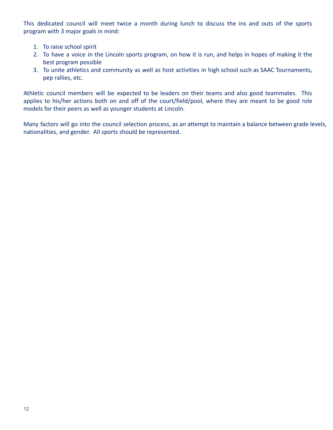This dedicated council will meet twice a month during lunch to discuss the ins and outs of the sports program with 3 major goals in mind:

- 1. To raise school spirit
- 2. To have a voice in the Lincoln sports program, on how it is run, and helps in hopes of making it the best program possible
- 3. To unite athletics and community as well as host activities in high school such as SAAC Tournaments, pep rallies, etc.

Athletic council members will be expected to be leaders on their teams and also good teammates. This applies to his/her actions both on and off of the court/field/pool, where they are meant to be good role models for their peers as well as younger students at Lincoln.

Many factors will go into the council selection process, as an attempt to maintain a balance between grade levels, nationalities, and gender. All sports should be represented.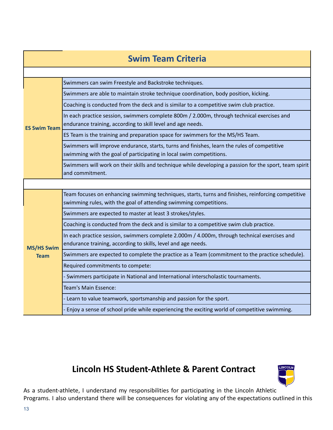| <b>Swim Team Criteria</b>        |                                                                                                                                                                         |  |  |  |
|----------------------------------|-------------------------------------------------------------------------------------------------------------------------------------------------------------------------|--|--|--|
|                                  |                                                                                                                                                                         |  |  |  |
| <b>ES Swim Team</b>              | Swimmers can swim Freestyle and Backstroke techniques.                                                                                                                  |  |  |  |
|                                  | Swimmers are able to maintain stroke technique coordination, body position, kicking.                                                                                    |  |  |  |
|                                  | Coaching is conducted from the deck and is similar to a competitive swim club practice.                                                                                 |  |  |  |
|                                  | In each practice session, swimmers complete 800m / 2.000m, through technical exercises and<br>endurance training, according to skill level and age needs.               |  |  |  |
|                                  | ES Team is the training and preparation space for swimmers for the MS/HS Team.                                                                                          |  |  |  |
|                                  | Swimmers will improve endurance, starts, turns and finishes, learn the rules of competitive<br>swimming with the goal of participating in local swim competitions.      |  |  |  |
|                                  | Swimmers will work on their skills and technique while developing a passion for the sport, team spirit<br>and commitment.                                               |  |  |  |
|                                  |                                                                                                                                                                         |  |  |  |
| <b>MS/HS Swim</b><br><b>Team</b> | Team focuses on enhancing swimming techniques, starts, turns and finishes, reinforcing competitive<br>swimming rules, with the goal of attending swimming competitions. |  |  |  |
|                                  | Swimmers are expected to master at least 3 strokes/styles.                                                                                                              |  |  |  |
|                                  | Coaching is conducted from the deck and is similar to a competitive swim club practice.                                                                                 |  |  |  |
|                                  | In each practice session, swimmers complete 2.000m / 4.000m, through technical exercises and<br>endurance training, according to skills, level and age needs.           |  |  |  |
|                                  | Swimmers are expected to complete the practice as a Team (commitment to the practice schedule).                                                                         |  |  |  |
|                                  | Required commitments to compete:                                                                                                                                        |  |  |  |
|                                  | Swimmers participate in National and International interscholastic tournaments.                                                                                         |  |  |  |
|                                  | Team's Main Essence:                                                                                                                                                    |  |  |  |
|                                  | Learn to value teamwork, sportsmanship and passion for the sport.                                                                                                       |  |  |  |
|                                  | Enjoy a sense of school pride while experiencing the exciting world of competitive swimming.                                                                            |  |  |  |

# **Lincoln HS Student-Athlete & Parent Contract**



As a student-athlete, I understand my responsibilities for participating in the Lincoln Athletic Programs. I also understand there will be consequences for violating any of the expectations outlined in this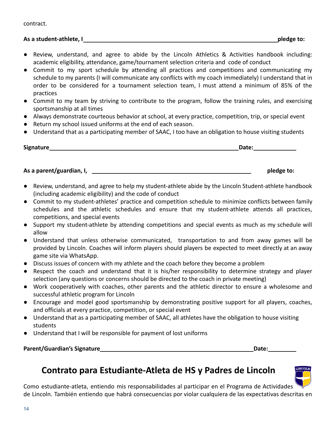# **As a student-athlete, I pledge to:**

- Review, understand, and agree to abide by the Lincoln Athletics & Activities handbook including: academic eligibility, attendance, game/tournament selection criteria and code of conduct
- Commit to my sport schedule by attending all practices and competitions and communicating my schedule to my parents (I will communicate any conflicts with my coach immediately) I understand that in order to be considered for a tournament selection team, I must attend a minimum of 85% of the practices
- Commit to my team by striving to contribute to the program, follow the training rules, and exercising sportsmanship at all times
- Always demonstrate courteous behavior at school, at every practice, competition, trip, or special event
- Return my school issued uniforms at the end of each season.
- Understand that as a participating member of SAAC, I too have an obligation to house visiting students

**Signature Date:**

**As a parent/guardian, I, pledge to:**

- Review, understand, and agree to help my student-athlete abide by the Lincoln Student-athlete handbook (including academic eligibility) and the code of conduct
- Commit to my student-athletes' practice and competition schedule to minimize conflicts between family schedules and the athletic schedules and ensure that my student-athlete attends all practices, competitions, and special events
- Support my student-athlete by attending competitions and special events as much as my schedule will allow
- Understand that unless otherwise communicated, transportation to and from away games will be provided by Lincoln. Coaches will inform players should players be expected to meet directly at an away game site via WhatsApp.
- Discuss issues of concern with my athlete and the coach before they become a problem
- Respect the coach and understand that it is his/her responsibility to determine strategy and player selection (any questions or concerns should be directed to the coach in private meeting)
- Work cooperatively with coaches, other parents and the athletic director to ensure a wholesome and successful athletic program for Lincoln
- Encourage and model good sportsmanship by demonstrating positive support for all players, coaches, and officials at every practice, competition, or special event
- Understand that as a participating member of SAAC, all athletes have the obligation to house visiting students
- Understand that I will be responsible for payment of lost uniforms

# **Parent/Guardian's Signature <b>Date: Date: Date: Date: Date: Date: Date: Date: Date: Date: Date: Date: Date: Date: Date: Date: Date: Date: Date: Date: Date: Date: Date: Date:**

# **Contrato para Estudiante-Atleta de HS y Padres de Lincoln**



Como estudiante-atleta, entiendo mis responsabilidades al participar en el Programa de Actividades de Lincoln. También entiendo que habrá consecuencias por violar cualquiera de las expectativas descritas en